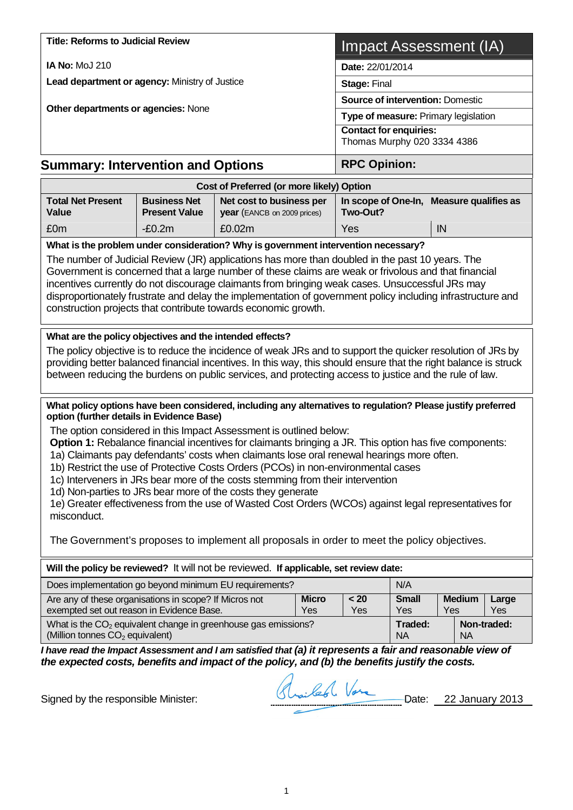| <b>Title: Reforms to Judicial Review</b>                                                                                                                                                                                                                                                                                                                                                                                                                                                                                                                                                                                                |                                                              |                                                         |                     | <b>Impact Assessment (IA)</b>        |                     |                                          |                     |  |
|-----------------------------------------------------------------------------------------------------------------------------------------------------------------------------------------------------------------------------------------------------------------------------------------------------------------------------------------------------------------------------------------------------------------------------------------------------------------------------------------------------------------------------------------------------------------------------------------------------------------------------------------|--------------------------------------------------------------|---------------------------------------------------------|---------------------|--------------------------------------|---------------------|------------------------------------------|---------------------|--|
| <b>IA No: MoJ 210</b>                                                                                                                                                                                                                                                                                                                                                                                                                                                                                                                                                                                                                   | Date: 22/01/2014                                             |                                                         |                     |                                      |                     |                                          |                     |  |
| Lead department or agency: Ministry of Justice                                                                                                                                                                                                                                                                                                                                                                                                                                                                                                                                                                                          | Stage: Final                                                 |                                                         |                     |                                      |                     |                                          |                     |  |
| Other departments or agencies: None                                                                                                                                                                                                                                                                                                                                                                                                                                                                                                                                                                                                     |                                                              |                                                         |                     |                                      |                     | <b>Source of intervention: Domestic</b>  |                     |  |
|                                                                                                                                                                                                                                                                                                                                                                                                                                                                                                                                                                                                                                         |                                                              |                                                         |                     | Type of measure: Primary legislation |                     |                                          |                     |  |
|                                                                                                                                                                                                                                                                                                                                                                                                                                                                                                                                                                                                                                         | <b>Contact for enquiries:</b><br>Thomas Murphy 020 3334 4386 |                                                         |                     |                                      |                     |                                          |                     |  |
| <b>Summary: Intervention and Options</b>                                                                                                                                                                                                                                                                                                                                                                                                                                                                                                                                                                                                | <b>RPC Opinion:</b>                                          |                                                         |                     |                                      |                     |                                          |                     |  |
|                                                                                                                                                                                                                                                                                                                                                                                                                                                                                                                                                                                                                                         |                                                              | Cost of Preferred (or more likely) Option               |                     |                                      |                     |                                          |                     |  |
| <b>Total Net Present</b><br><b>Value</b>                                                                                                                                                                                                                                                                                                                                                                                                                                                                                                                                                                                                | <b>Business Net</b><br><b>Present Value</b>                  | Net cost to business per<br>year (EANCB on 2009 prices) |                     | Two-Out?                             |                     | In scope of One-In, Measure qualifies as |                     |  |
| £0m                                                                                                                                                                                                                                                                                                                                                                                                                                                                                                                                                                                                                                     | $-E0.2m$                                                     | £0.02m                                                  |                     | Yes                                  |                     | IN                                       |                     |  |
| What is the problem under consideration? Why is government intervention necessary?<br>The number of Judicial Review (JR) applications has more than doubled in the past 10 years. The<br>Government is concerned that a large number of these claims are weak or frivolous and that financial<br>incentives currently do not discourage claimants from bringing weak cases. Unsuccessful JRs may<br>disproportionately frustrate and delay the implementation of government policy including infrastructure and<br>construction projects that contribute towards economic growth.                                                       |                                                              |                                                         |                     |                                      |                     |                                          |                     |  |
| What are the policy objectives and the intended effects?<br>The policy objective is to reduce the incidence of weak JRs and to support the quicker resolution of JRs by<br>providing better balanced financial incentives. In this way, this should ensure that the right balance is struck<br>between reducing the burdens on public services, and protecting access to justice and the rule of law.                                                                                                                                                                                                                                   |                                                              |                                                         |                     |                                      |                     |                                          |                     |  |
| What policy options have been considered, including any alternatives to regulation? Please justify preferred<br>option (further details in Evidence Base)                                                                                                                                                                                                                                                                                                                                                                                                                                                                               |                                                              |                                                         |                     |                                      |                     |                                          |                     |  |
| The option considered in this Impact Assessment is outlined below:<br>Option 1: Rebalance financial incentives for claimants bringing a JR. This option has five components:<br>1a) Claimants pay defendants' costs when claimants lose oral renewal hearings more often.<br>1b) Restrict the use of Protective Costs Orders (PCOs) in non-environmental cases<br>1c) Interveners in JRs bear more of the costs stemming from their intervention<br>1d) Non-parties to JRs bear more of the costs they generate<br>1e) Greater effectiveness from the use of Wasted Cost Orders (WCOs) against legal representatives for<br>misconduct. |                                                              |                                                         |                     |                                      |                     |                                          |                     |  |
| The Government's proposes to implement all proposals in order to meet the policy objectives.                                                                                                                                                                                                                                                                                                                                                                                                                                                                                                                                            |                                                              |                                                         |                     |                                      |                     |                                          |                     |  |
| Will the policy be reviewed? It will not be reviewed. If applicable, set review date:                                                                                                                                                                                                                                                                                                                                                                                                                                                                                                                                                   |                                                              |                                                         |                     |                                      |                     |                                          |                     |  |
| Does implementation go beyond minimum EU requirements?                                                                                                                                                                                                                                                                                                                                                                                                                                                                                                                                                                                  |                                                              |                                                         |                     |                                      | N/A                 |                                          |                     |  |
| Are any of these organisations in scope? If Micros not<br>exempted set out reason in Evidence Base.                                                                                                                                                                                                                                                                                                                                                                                                                                                                                                                                     |                                                              |                                                         | <b>Micro</b><br>Yes | < 20<br>Yes                          | <b>Small</b><br>Yes | <b>Medium</b><br>Yes                     | Large<br><b>Yes</b> |  |
| What is the CO <sub>2</sub> equivalent change in greenhouse gas emissions?<br>(Million tonnes CO <sub>2</sub> equivalent)                                                                                                                                                                                                                                                                                                                                                                                                                                                                                                               |                                                              | Traded:<br>Non-traded:<br><b>NA</b><br><b>NA</b>        |                     |                                      |                     |                                          |                     |  |
| I have read the Impact Assessment and I am satisfied that (a) it represents a fair and reasonable view of<br>the expected costs, benefits and impact of the policy, and (b) the benefits justify the costs.                                                                                                                                                                                                                                                                                                                                                                                                                             |                                                              |                                                         | A. Col. Vare        |                                      |                     |                                          |                     |  |

Signed by the responsible Minister: <u>Shouled Vare</u> Date: 22 January 2013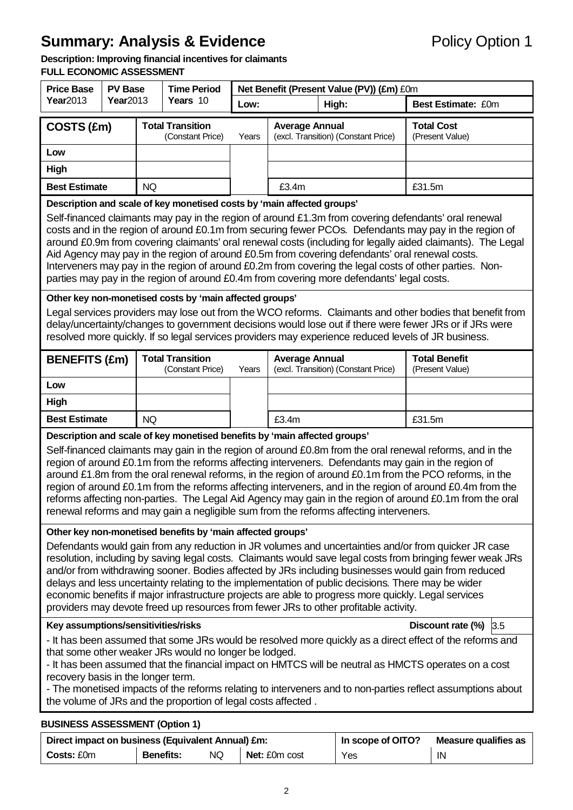# **Summary: Analysis & Evidence** Policy Option 1

#### **Description: Improving financial incentives for claimants**

#### **FULL ECONOMIC ASSESSMENT**

| <b>Price Base</b>                                                                                                                                                                                                                                                                                                                                                                                                                                                                                                                                                                                                                                                                                                                                                                                                                                                                                                                                                                                                                                                                                                                                                                                                                                                   | <b>PV Base</b>   |           | <b>Time Period</b>                          | Net Benefit (Present Value (PV)) (£m) £0m |                                                              |                                     |                                         |  |  |
|---------------------------------------------------------------------------------------------------------------------------------------------------------------------------------------------------------------------------------------------------------------------------------------------------------------------------------------------------------------------------------------------------------------------------------------------------------------------------------------------------------------------------------------------------------------------------------------------------------------------------------------------------------------------------------------------------------------------------------------------------------------------------------------------------------------------------------------------------------------------------------------------------------------------------------------------------------------------------------------------------------------------------------------------------------------------------------------------------------------------------------------------------------------------------------------------------------------------------------------------------------------------|------------------|-----------|---------------------------------------------|-------------------------------------------|--------------------------------------------------------------|-------------------------------------|-----------------------------------------|--|--|
| Year2013                                                                                                                                                                                                                                                                                                                                                                                                                                                                                                                                                                                                                                                                                                                                                                                                                                                                                                                                                                                                                                                                                                                                                                                                                                                            | <b>Year</b> 2013 |           | Years 10                                    | Low:                                      | High:                                                        |                                     | Best Estimate: £0m                      |  |  |
| COSTS (£m)                                                                                                                                                                                                                                                                                                                                                                                                                                                                                                                                                                                                                                                                                                                                                                                                                                                                                                                                                                                                                                                                                                                                                                                                                                                          |                  |           | <b>Total Transition</b><br>(Constant Price) | Years                                     | <b>Average Annual</b><br>(excl. Transition) (Constant Price) |                                     | <b>Total Cost</b><br>(Present Value)    |  |  |
| Low                                                                                                                                                                                                                                                                                                                                                                                                                                                                                                                                                                                                                                                                                                                                                                                                                                                                                                                                                                                                                                                                                                                                                                                                                                                                 |                  |           |                                             |                                           |                                                              |                                     |                                         |  |  |
| High                                                                                                                                                                                                                                                                                                                                                                                                                                                                                                                                                                                                                                                                                                                                                                                                                                                                                                                                                                                                                                                                                                                                                                                                                                                                |                  |           |                                             |                                           |                                                              |                                     |                                         |  |  |
| <b>Best Estimate</b><br>NQ                                                                                                                                                                                                                                                                                                                                                                                                                                                                                                                                                                                                                                                                                                                                                                                                                                                                                                                                                                                                                                                                                                                                                                                                                                          |                  |           |                                             |                                           | £3.4m                                                        |                                     | £31.5m                                  |  |  |
| Description and scale of key monetised costs by 'main affected groups'<br>Self-financed claimants may pay in the region of around £1.3m from covering defendants' oral renewal<br>costs and in the region of around £0.1m from securing fewer PCOs. Defendants may pay in the region of<br>around £0.9m from covering claimants' oral renewal costs (including for legally aided claimants). The Legal<br>Aid Agency may pay in the region of around £0.5m from covering defendants' oral renewal costs.<br>Interveners may pay in the region of around £0.2m from covering the legal costs of other parties. Non-<br>parties may pay in the region of around £0.4m from covering more defendants' legal costs.                                                                                                                                                                                                                                                                                                                                                                                                                                                                                                                                                     |                  |           |                                             |                                           |                                                              |                                     |                                         |  |  |
| Other key non-monetised costs by 'main affected groups'<br>Legal services providers may lose out from the WCO reforms. Claimants and other bodies that benefit from<br>delay/uncertainty/changes to government decisions would lose out if there were fewer JRs or if JRs were<br>resolved more quickly. If so legal services providers may experience reduced levels of JR business.                                                                                                                                                                                                                                                                                                                                                                                                                                                                                                                                                                                                                                                                                                                                                                                                                                                                               |                  |           |                                             |                                           |                                                              |                                     |                                         |  |  |
| <b>BENEFITS (£m)</b>                                                                                                                                                                                                                                                                                                                                                                                                                                                                                                                                                                                                                                                                                                                                                                                                                                                                                                                                                                                                                                                                                                                                                                                                                                                |                  |           | <b>Total Transition</b><br>(Constant Price) | Years                                     | <b>Average Annual</b>                                        | (excl. Transition) (Constant Price) | <b>Total Benefit</b><br>(Present Value) |  |  |
| Low                                                                                                                                                                                                                                                                                                                                                                                                                                                                                                                                                                                                                                                                                                                                                                                                                                                                                                                                                                                                                                                                                                                                                                                                                                                                 |                  |           |                                             |                                           |                                                              |                                     |                                         |  |  |
| <b>High</b>                                                                                                                                                                                                                                                                                                                                                                                                                                                                                                                                                                                                                                                                                                                                                                                                                                                                                                                                                                                                                                                                                                                                                                                                                                                         |                  |           |                                             |                                           |                                                              |                                     |                                         |  |  |
| <b>Best Estimate</b>                                                                                                                                                                                                                                                                                                                                                                                                                                                                                                                                                                                                                                                                                                                                                                                                                                                                                                                                                                                                                                                                                                                                                                                                                                                |                  | <b>NQ</b> |                                             |                                           | £3.4m                                                        |                                     | £31.5m                                  |  |  |
| Description and scale of key monetised benefits by 'main affected groups'<br>Self-financed claimants may gain in the region of around £0.8m from the oral renewal reforms, and in the<br>region of around £0.1m from the reforms affecting interveners. Defendants may gain in the region of<br>around £1.8m from the oral renewal reforms, in the region of around £0.1m from the PCO reforms, in the<br>region of around £0.1m from the reforms affecting interveners, and in the region of around £0.4m from the<br>reforms affecting non-parties. The Legal Aid Agency may gain in the region of around £0.1m from the oral<br>renewal reforms and may gain a negligible sum from the reforms affecting interveners.                                                                                                                                                                                                                                                                                                                                                                                                                                                                                                                                            |                  |           |                                             |                                           |                                                              |                                     |                                         |  |  |
| Other key non-monetised benefits by 'main affected groups'<br>Defendants would gain from any reduction in JR volumes and uncertainties and/or from quicker JR case<br>resolution, including by saving legal costs. Claimants would save legal costs from bringing fewer weak JRs<br>and/or from withdrawing sooner. Bodies affected by JRs including businesses would gain from reduced<br>delays and less uncertainty relating to the implementation of public decisions. There may be wider<br>economic benefits if major infrastructure projects are able to progress more quickly. Legal services<br>providers may devote freed up resources from fewer JRs to other profitable activity.<br>Key assumptions/sensitivities/risks<br>Discount rate $(\%)$ 3.5<br>- It has been assumed that some JRs would be resolved more quickly as a direct effect of the reforms and<br>that some other weaker JRs would no longer be lodged.<br>- It has been assumed that the financial impact on HMTCS will be neutral as HMCTS operates on a cost<br>recovery basis in the longer term.<br>- The monetised impacts of the reforms relating to interveners and to non-parties reflect assumptions about<br>the volume of JRs and the proportion of legal costs affected. |                  |           |                                             |                                           |                                                              |                                     |                                         |  |  |

# **BUSINESS ASSESSMENT (Option 1)**

| Direct impact on business (Equivalent Annual) £m: |                  | In scope of OITO? | Measure qualifies as |     |    |
|---------------------------------------------------|------------------|-------------------|----------------------|-----|----|
| <b>Costs:</b> £0m                                 | <b>Benefits:</b> | <b>NQ</b>         | Net: £0m cost        | Yes | IN |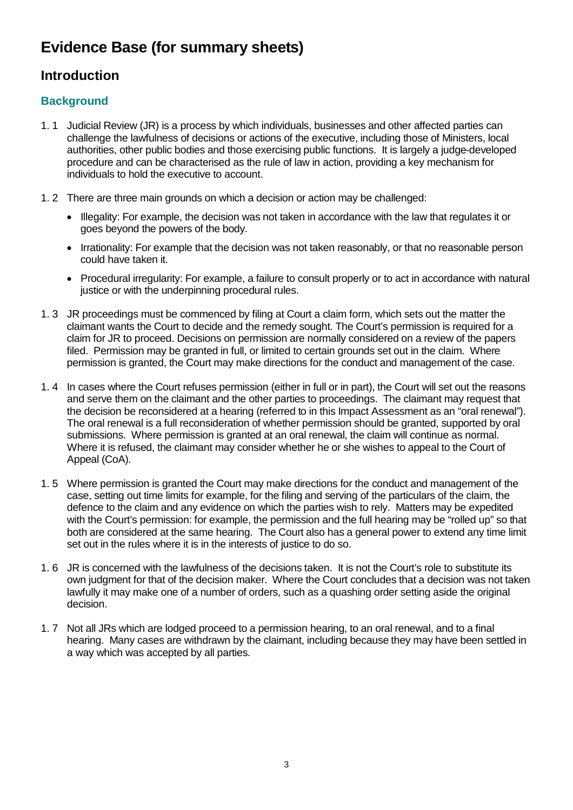# **Evidence Base (for summary sheets)**

# **Introduction**

# **Background**

- 1. 1 Judicial Review (JR) is a process by which individuals, businesses and other affected parties can challenge the lawfulness of decisions or actions of the executive, including those of Ministers, local authorities, other public bodies and those exercising public functions. It is largely a judge-developed procedure and can be characterised as the rule of law in action, providing a key mechanism for individuals to hold the executive to account.
- 1. 2 There are three main grounds on which a decision or action may be challenged:
	- Illegality: For example, the decision was not taken in accordance with the law that regulates it or goes beyond the powers of the body.
	- Irrationality: For example that the decision was not taken reasonably, or that no reasonable person could have taken it.
	- Procedural irregularity: For example, a failure to consult properly or to act in accordance with natural justice or with the underpinning procedural rules.
- 1. 3 JR proceedings must be commenced by filing at Court a claim form, which sets out the matter the claimant wants the Court to decide and the remedy sought. The Court's permission is required for a claim for JR to proceed. Decisions on permission are normally considered on a review of the papers filed. Permission may be granted in full, or limited to certain grounds set out in the claim. Where permission is granted, the Court may make directions for the conduct and management of the case.
- 1. 4 In cases where the Court refuses permission (either in full or in part), the Court will set out the reasons and serve them on the claimant and the other parties to proceedings. The claimant may request that the decision be reconsidered at a hearing (referred to in this Impact Assessment as an "oral renewal"). The oral renewal is a full reconsideration of whether permission should be granted, supported by oral submissions. Where permission is granted at an oral renewal, the claim will continue as normal. Where it is refused, the claimant may consider whether he or she wishes to appeal to the Court of Appeal (CoA).
- 1. 5 Where permission is granted the Court may make directions for the conduct and management of the case, setting out time limits for example, for the filing and serving of the particulars of the claim, the defence to the claim and any evidence on which the parties wish to rely. Matters may be expedited with the Court's permission: for example, the permission and the full hearing may be "rolled up" so that both are considered at the same hearing. The Court also has a general power to extend any time limit set out in the rules where it is in the interests of justice to do so.
- 1. 6 JR is concerned with the lawfulness of the decisions taken. It is not the Court's role to substitute its own judgment for that of the decision maker. Where the Court concludes that a decision was not taken lawfully it may make one of a number of orders, such as a quashing order setting aside the original decision.
- 1. 7 Not all JRs which are lodged proceed to a permission hearing, to an oral renewal, and to a final hearing. Many cases are withdrawn by the claimant, including because they may have been settled in a way which was accepted by all parties.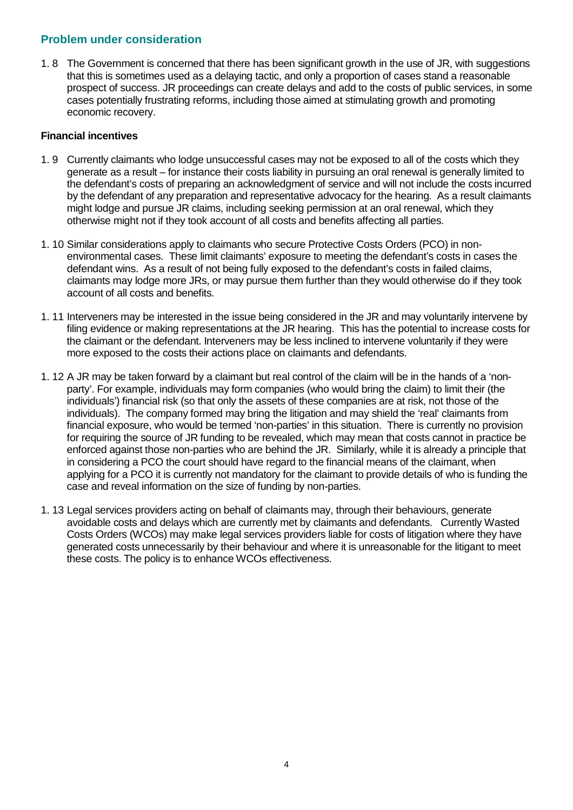#### **Problem under consideration**

1. 8 The Government is concerned that there has been significant growth in the use of JR, with suggestions that this is sometimes used as a delaying tactic, and only a proportion of cases stand a reasonable prospect of success. JR proceedings can create delays and add to the costs of public services, in some cases potentially frustrating reforms, including those aimed at stimulating growth and promoting economic recovery.

#### **Financial incentives**

- 1. 9 Currently claimants who lodge unsuccessful cases may not be exposed to all of the costs which they generate as a result – for instance their costs liability in pursuing an oral renewal is generally limited to the defendant's costs of preparing an acknowledgment of service and will not include the costs incurred by the defendant of any preparation and representative advocacy for the hearing. As a result claimants might lodge and pursue JR claims, including seeking permission at an oral renewal, which they otherwise might not if they took account of all costs and benefits affecting all parties.
- 1. 10 Similar considerations apply to claimants who secure Protective Costs Orders (PCO) in nonenvironmental cases. These limit claimants' exposure to meeting the defendant's costs in cases the defendant wins. As a result of not being fully exposed to the defendant's costs in failed claims, claimants may lodge more JRs, or may pursue them further than they would otherwise do if they took account of all costs and benefits.
- 1. 11 Interveners may be interested in the issue being considered in the JR and may voluntarily intervene by filing evidence or making representations at the JR hearing. This has the potential to increase costs for the claimant or the defendant. Interveners may be less inclined to intervene voluntarily if they were more exposed to the costs their actions place on claimants and defendants.
- 1. 12 A JR may be taken forward by a claimant but real control of the claim will be in the hands of a 'nonparty'. For example, individuals may form companies (who would bring the claim) to limit their (the individuals') financial risk (so that only the assets of these companies are at risk, not those of the individuals). The company formed may bring the litigation and may shield the 'real' claimants from financial exposure, who would be termed 'non-parties' in this situation. There is currently no provision for requiring the source of JR funding to be revealed, which may mean that costs cannot in practice be enforced against those non-parties who are behind the JR. Similarly, while it is already a principle that in considering a PCO the court should have regard to the financial means of the claimant, when applying for a PCO it is currently not mandatory for the claimant to provide details of who is funding the case and reveal information on the size of funding by non-parties.
- 1. 13 Legal services providers acting on behalf of claimants may, through their behaviours, generate avoidable costs and delays which are currently met by claimants and defendants. Currently Wasted Costs Orders (WCOs) may make legal services providers liable for costs of litigation where they have generated costs unnecessarily by their behaviour and where it is unreasonable for the litigant to meet these costs. The policy is to enhance WCOs effectiveness.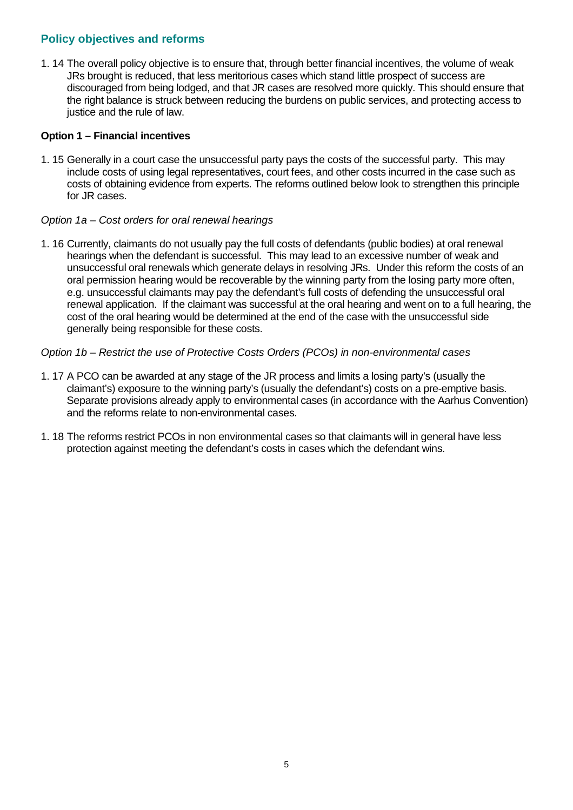# **Policy objectives and reforms**

1. 14 The overall policy objective is to ensure that, through better financial incentives, the volume of weak JRs brought is reduced, that less meritorious cases which stand little prospect of success are discouraged from being lodged, and that JR cases are resolved more quickly. This should ensure that the right balance is struck between reducing the burdens on public services, and protecting access to justice and the rule of law.

#### **Option 1 – Financial incentives**

1. 15 Generally in a court case the unsuccessful party pays the costs of the successful party. This may include costs of using legal representatives, court fees, and other costs incurred in the case such as costs of obtaining evidence from experts. The reforms outlined below look to strengthen this principle for JR cases.

#### *Option 1a – Cost orders for oral renewal hearings*

1. 16 Currently, claimants do not usually pay the full costs of defendants (public bodies) at oral renewal hearings when the defendant is successful. This may lead to an excessive number of weak and unsuccessful oral renewals which generate delays in resolving JRs. Under this reform the costs of an oral permission hearing would be recoverable by the winning party from the losing party more often, e.g. unsuccessful claimants may pay the defendant's full costs of defending the unsuccessful oral renewal application. If the claimant was successful at the oral hearing and went on to a full hearing, the cost of the oral hearing would be determined at the end of the case with the unsuccessful side generally being responsible for these costs.

#### *Option 1b – Restrict the use of Protective Costs Orders (PCOs) in non-environmental cases*

- 1. 17 A PCO can be awarded at any stage of the JR process and limits a losing party's (usually the claimant's) exposure to the winning party's (usually the defendant's) costs on a pre-emptive basis. Separate provisions already apply to environmental cases (in accordance with the Aarhus Convention) and the reforms relate to non-environmental cases.
- 1. 18 The reforms restrict PCOs in non environmental cases so that claimants will in general have less protection against meeting the defendant's costs in cases which the defendant wins.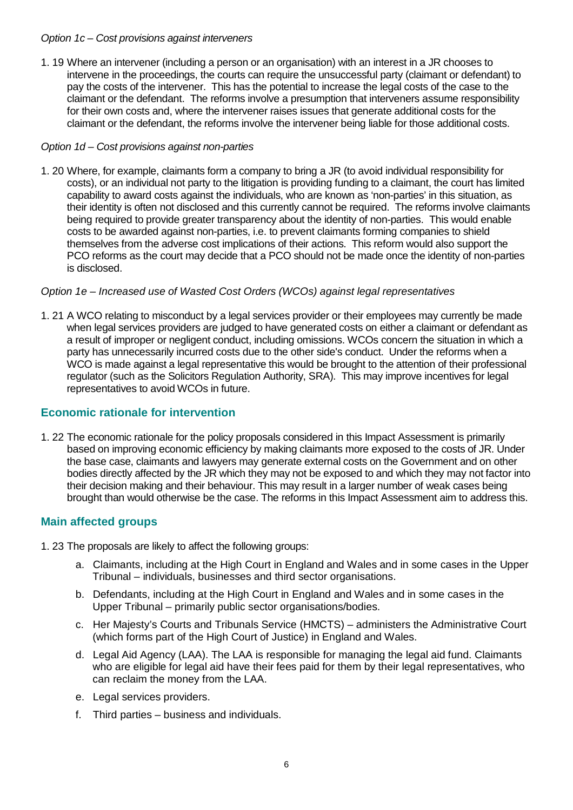#### *Option 1c – Cost provisions against interveners*

1. 19 Where an intervener (including a person or an organisation) with an interest in a JR chooses to intervene in the proceedings, the courts can require the unsuccessful party (claimant or defendant) to pay the costs of the intervener. This has the potential to increase the legal costs of the case to the claimant or the defendant. The reforms involve a presumption that interveners assume responsibility for their own costs and, where the intervener raises issues that generate additional costs for the claimant or the defendant, the reforms involve the intervener being liable for those additional costs.

#### *Option 1d – Cost provisions against non-parties*

1. 20 Where, for example, claimants form a company to bring a JR (to avoid individual responsibility for costs), or an individual not party to the litigation is providing funding to a claimant, the court has limited capability to award costs against the individuals, who are known as 'non-parties' in this situation, as their identity is often not disclosed and this currently cannot be required. The reforms involve claimants being required to provide greater transparency about the identity of non-parties. This would enable costs to be awarded against non-parties, i.e. to prevent claimants forming companies to shield themselves from the adverse cost implications of their actions. This reform would also support the PCO reforms as the court may decide that a PCO should not be made once the identity of non-parties is disclosed.

#### *Option 1e – Increased use of Wasted Cost Orders (WCOs) against legal representatives*

1. 21 A WCO relating to misconduct by a legal services provider or their employees may currently be made when legal services providers are judged to have generated costs on either a claimant or defendant as a result of improper or negligent conduct, including omissions. WCOs concern the situation in which a party has unnecessarily incurred costs due to the other side's conduct. Under the reforms when a WCO is made against a legal representative this would be brought to the attention of their professional regulator (such as the Solicitors Regulation Authority, SRA). This may improve incentives for legal representatives to avoid WCOs in future.

## **Economic rationale for intervention**

1. 22 The economic rationale for the policy proposals considered in this Impact Assessment is primarily based on improving economic efficiency by making claimants more exposed to the costs of JR. Under the base case, claimants and lawyers may generate external costs on the Government and on other bodies directly affected by the JR which they may not be exposed to and which they may not factor into their decision making and their behaviour. This may result in a larger number of weak cases being brought than would otherwise be the case. The reforms in this Impact Assessment aim to address this.

## **Main affected groups**

1. 23 The proposals are likely to affect the following groups:

- a. Claimants, including at the High Court in England and Wales and in some cases in the Upper Tribunal – individuals, businesses and third sector organisations.
- b. Defendants, including at the High Court in England and Wales and in some cases in the Upper Tribunal – primarily public sector organisations/bodies.
- c. Her Majesty's Courts and Tribunals Service (HMCTS) administers the Administrative Court (which forms part of the High Court of Justice) in England and Wales.
- d. Legal Aid Agency (LAA). The LAA is responsible for managing the legal aid fund. Claimants who are eligible for legal aid have their fees paid for them by their legal representatives, who can reclaim the money from the LAA.
- e. Legal services providers.
- f. Third parties business and individuals.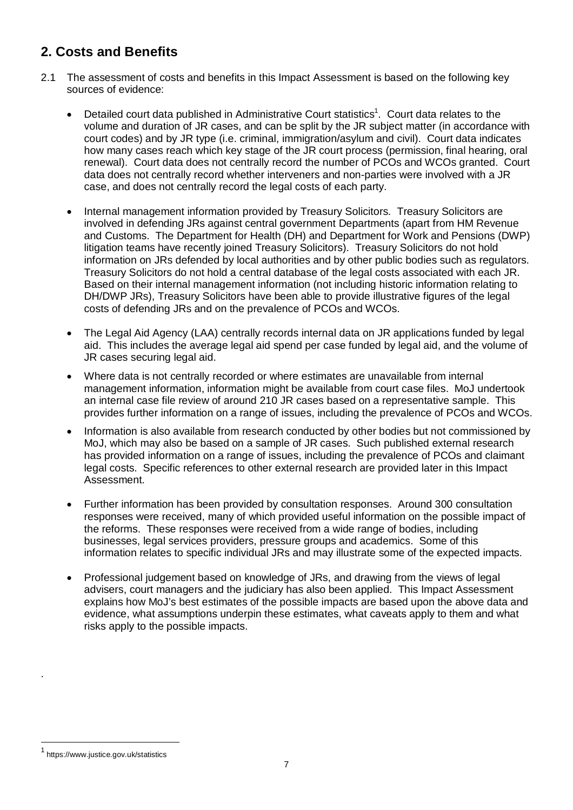# **2. Costs and Benefits**

- 2.1 The assessment of costs and benefits in this Impact Assessment is based on the following key sources of evidence:
	- Detailed court data published in Administrative Court statistics<sup>1</sup>. Court data relates to the volume and duration of JR cases, and can be split by the JR subject matter (in accordance with court codes) and by JR type (i.e. criminal, immigration/asylum and civil). Court data indicates how many cases reach which key stage of the JR court process (permission, final hearing, oral renewal). Court data does not centrally record the number of PCOs and WCOs granted. Court data does not centrally record whether interveners and non-parties were involved with a JR case, and does not centrally record the legal costs of each party.
	- Internal management information provided by Treasury Solicitors. Treasury Solicitors are involved in defending JRs against central government Departments (apart from HM Revenue and Customs. The Department for Health (DH) and Department for Work and Pensions (DWP) litigation teams have recently joined Treasury Solicitors). Treasury Solicitors do not hold information on JRs defended by local authorities and by other public bodies such as regulators. Treasury Solicitors do not hold a central database of the legal costs associated with each JR. Based on their internal management information (not including historic information relating to DH/DWP JRs), Treasury Solicitors have been able to provide illustrative figures of the legal costs of defending JRs and on the prevalence of PCOs and WCOs.
	- The Legal Aid Agency (LAA) centrally records internal data on JR applications funded by legal aid. This includes the average legal aid spend per case funded by legal aid, and the volume of JR cases securing legal aid.
	- Where data is not centrally recorded or where estimates are unavailable from internal management information, information might be available from court case files. MoJ undertook an internal case file review of around 210 JR cases based on a representative sample. This provides further information on a range of issues, including the prevalence of PCOs and WCOs.
	- Information is also available from research conducted by other bodies but not commissioned by MoJ, which may also be based on a sample of JR cases. Such published external research has provided information on a range of issues, including the prevalence of PCOs and claimant legal costs. Specific references to other external research are provided later in this Impact Assessment.
	- Further information has been provided by consultation responses. Around 300 consultation responses were received, many of which provided useful information on the possible impact of the reforms. These responses were received from a wide range of bodies, including businesses, legal services providers, pressure groups and academics. Some of this information relates to specific individual JRs and may illustrate some of the expected impacts.
	- Professional judgement based on knowledge of JRs, and drawing from the views of legal advisers, court managers and the judiciary has also been applied. This Impact Assessment explains how MoJ's best estimates of the possible impacts are based upon the above data and evidence, what assumptions underpin these estimates, what caveats apply to them and what risks apply to the possible impacts.

.

 $\overline{a}$ 

<sup>1</sup> https://www.justice.gov.uk/statistics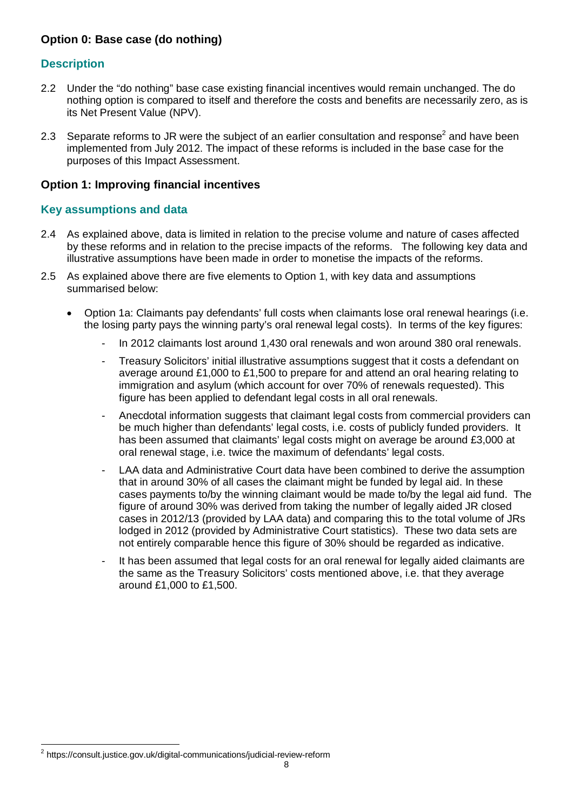# **Option 0: Base case (do nothing)**

## **Description**

- 2.2 Under the "do nothing" base case existing financial incentives would remain unchanged. The do nothing option is compared to itself and therefore the costs and benefits are necessarily zero, as is its Net Present Value (NPV).
- 2.3 Separate reforms to JR were the subject of an earlier consultation and response<sup>2</sup> and have been implemented from July 2012. The impact of these reforms is included in the base case for the purposes of this Impact Assessment.

#### **Option 1: Improving financial incentives**

#### **Key assumptions and data**

- 2.4 As explained above, data is limited in relation to the precise volume and nature of cases affected by these reforms and in relation to the precise impacts of the reforms. The following key data and illustrative assumptions have been made in order to monetise the impacts of the reforms.
- 2.5 As explained above there are five elements to Option 1, with key data and assumptions summarised below:
	- Option 1a: Claimants pay defendants' full costs when claimants lose oral renewal hearings (i.e. the losing party pays the winning party's oral renewal legal costs). In terms of the key figures:
		- In 2012 claimants lost around 1,430 oral renewals and won around 380 oral renewals.
		- Treasury Solicitors' initial illustrative assumptions suggest that it costs a defendant on average around £1,000 to £1,500 to prepare for and attend an oral hearing relating to immigration and asylum (which account for over 70% of renewals requested). This figure has been applied to defendant legal costs in all oral renewals.
		- Anecdotal information suggests that claimant legal costs from commercial providers can be much higher than defendants' legal costs, i.e. costs of publicly funded providers. It has been assumed that claimants' legal costs might on average be around £3,000 at oral renewal stage, i.e. twice the maximum of defendants' legal costs.
		- LAA data and Administrative Court data have been combined to derive the assumption that in around 30% of all cases the claimant might be funded by legal aid. In these cases payments to/by the winning claimant would be made to/by the legal aid fund. The figure of around 30% was derived from taking the number of legally aided JR closed cases in 2012/13 (provided by LAA data) and comparing this to the total volume of JRs lodged in 2012 (provided by Administrative Court statistics). These two data sets are not entirely comparable hence this figure of 30% should be regarded as indicative.
		- It has been assumed that legal costs for an oral renewal for legally aided claimants are the same as the Treasury Solicitors' costs mentioned above, i.e. that they average around £1,000 to £1,500.

 $\overline{a}$ 

<sup>&</sup>lt;sup>2</sup> https://consult.justice.gov.uk/digital-communications/judicial-review-reform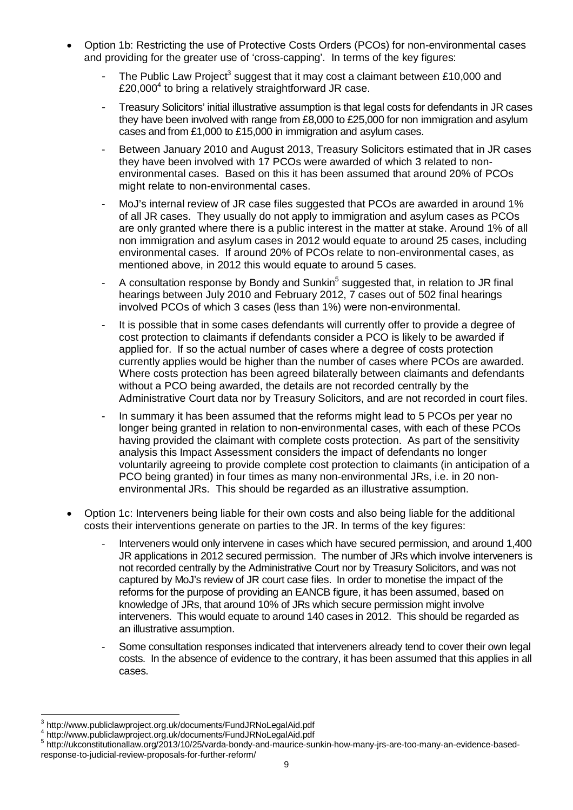- Option 1b: Restricting the use of Protective Costs Orders (PCOs) for non-environmental cases and providing for the greater use of 'cross-capping'. In terms of the key figures:
	- The Public Law Project<sup>3</sup> suggest that it may cost a claimant between £10,000 and £20,000<sup>4</sup> to bring a relatively straightforward JR case.
	- Treasury Solicitors' initial illustrative assumption is that legal costs for defendants in JR cases they have been involved with range from £8,000 to £25,000 for non immigration and asylum cases and from £1,000 to £15,000 in immigration and asylum cases.
	- Between January 2010 and August 2013, Treasury Solicitors estimated that in JR cases they have been involved with 17 PCOs were awarded of which 3 related to nonenvironmental cases. Based on this it has been assumed that around 20% of PCOs might relate to non-environmental cases.
	- MoJ's internal review of JR case files suggested that PCOs are awarded in around 1% of all JR cases. They usually do not apply to immigration and asylum cases as PCOs are only granted where there is a public interest in the matter at stake. Around 1% of all non immigration and asylum cases in 2012 would equate to around 25 cases, including environmental cases. If around 20% of PCOs relate to non-environmental cases, as mentioned above, in 2012 this would equate to around 5 cases.
	- A consultation response by Bondy and Sunkin<sup>5</sup> suggested that, in relation to JR final hearings between July 2010 and February 2012, 7 cases out of 502 final hearings involved PCOs of which 3 cases (less than 1%) were non-environmental.
	- It is possible that in some cases defendants will currently offer to provide a degree of cost protection to claimants if defendants consider a PCO is likely to be awarded if applied for. If so the actual number of cases where a degree of costs protection currently applies would be higher than the number of cases where PCOs are awarded. Where costs protection has been agreed bilaterally between claimants and defendants without a PCO being awarded, the details are not recorded centrally by the Administrative Court data nor by Treasury Solicitors, and are not recorded in court files.
	- In summary it has been assumed that the reforms might lead to 5 PCOs per year no longer being granted in relation to non-environmental cases, with each of these PCOs having provided the claimant with complete costs protection. As part of the sensitivity analysis this Impact Assessment considers the impact of defendants no longer voluntarily agreeing to provide complete cost protection to claimants (in anticipation of a PCO being granted) in four times as many non-environmental JRs, i.e. in 20 nonenvironmental JRs. This should be regarded as an illustrative assumption.
- Option 1c: Interveners being liable for their own costs and also being liable for the additional costs their interventions generate on parties to the JR. In terms of the key figures:
	- Interveners would only intervene in cases which have secured permission, and around 1,400 JR applications in 2012 secured permission. The number of JRs which involve interveners is not recorded centrally by the Administrative Court nor by Treasury Solicitors, and was not captured by MoJ's review of JR court case files. In order to monetise the impact of the reforms for the purpose of providing an EANCB figure, it has been assumed, based on knowledge of JRs, that around 10% of JRs which secure permission might involve interveners. This would equate to around 140 cases in 2012. This should be regarded as an illustrative assumption.
	- Some consultation responses indicated that interveners already tend to cover their own legal costs. In the absence of evidence to the contrary, it has been assumed that this applies in all cases.

 3 http://www.publiclawproject.org.uk/documents/FundJRNoLegalAid.pdf

<sup>4</sup> http://www.publiclawproject.org.uk/documents/FundJRNoLegalAid.pdf

<sup>5</sup> http://ukconstitutionallaw.org/2013/10/25/varda-bondy-and-maurice-sunkin-how-many-jrs-are-too-many-an-evidence-basedresponse-to-judicial-review-proposals-for-further-reform/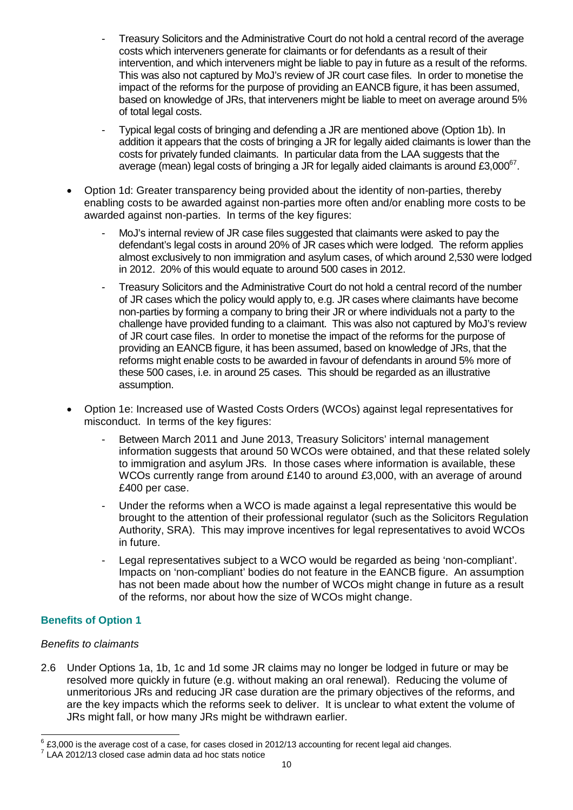- Treasury Solicitors and the Administrative Court do not hold a central record of the average costs which interveners generate for claimants or for defendants as a result of their intervention, and which interveners might be liable to pay in future as a result of the reforms. This was also not captured by MoJ's review of JR court case files. In order to monetise the impact of the reforms for the purpose of providing an EANCB figure, it has been assumed, based on knowledge of JRs, that interveners might be liable to meet on average around 5% of total legal costs.
- Typical legal costs of bringing and defending a JR are mentioned above (Option 1b). In addition it appears that the costs of bringing a JR for legally aided claimants is lower than the costs for privately funded claimants. In particular data from the LAA suggests that the average (mean) legal costs of bringing a JR for legally aided claimants is around £3,000 $^{67}$ .
- Option 1d: Greater transparency being provided about the identity of non-parties, thereby enabling costs to be awarded against non-parties more often and/or enabling more costs to be awarded against non-parties. In terms of the key figures:
	- MoJ's internal review of JR case files suggested that claimants were asked to pay the defendant's legal costs in around 20% of JR cases which were lodged. The reform applies almost exclusively to non immigration and asylum cases, of which around 2,530 were lodged in 2012. 20% of this would equate to around 500 cases in 2012.
	- Treasury Solicitors and the Administrative Court do not hold a central record of the number of JR cases which the policy would apply to, e.g. JR cases where claimants have become non-parties by forming a company to bring their JR or where individuals not a party to the challenge have provided funding to a claimant. This was also not captured by MoJ's review of JR court case files. In order to monetise the impact of the reforms for the purpose of providing an EANCB figure, it has been assumed, based on knowledge of JRs, that the reforms might enable costs to be awarded in favour of defendants in around 5% more of these 500 cases, i.e. in around 25 cases. This should be regarded as an illustrative assumption.
- Option 1e: Increased use of Wasted Costs Orders (WCOs) against legal representatives for misconduct. In terms of the key figures:
	- Between March 2011 and June 2013, Treasury Solicitors' internal management information suggests that around 50 WCOs were obtained, and that these related solely to immigration and asylum JRs. In those cases where information is available, these WCOs currently range from around £140 to around £3,000, with an average of around £400 per case.
	- Under the reforms when a WCO is made against a legal representative this would be brought to the attention of their professional regulator (such as the Solicitors Regulation Authority, SRA). This may improve incentives for legal representatives to avoid WCOs in future.
	- Legal representatives subject to a WCO would be regarded as being 'non-compliant'. Impacts on 'non-compliant' bodies do not feature in the EANCB figure. An assumption has not been made about how the number of WCOs might change in future as a result of the reforms, nor about how the size of WCOs might change.

# **Benefits of Option 1**

## *Benefits to claimants*

2.6 Under Options 1a, 1b, 1c and 1d some JR claims may no longer be lodged in future or may be resolved more quickly in future (e.g. without making an oral renewal). Reducing the volume of unmeritorious JRs and reducing JR case duration are the primary objectives of the reforms, and are the key impacts which the reforms seek to deliver. It is unclear to what extent the volume of JRs might fall, or how many JRs might be withdrawn earlier.

 6 £3,000 is the average cost of a case, for cases closed in 2012/13 accounting for recent legal aid changes.

<sup>7</sup> LAA 2012/13 closed case admin data ad hoc stats notice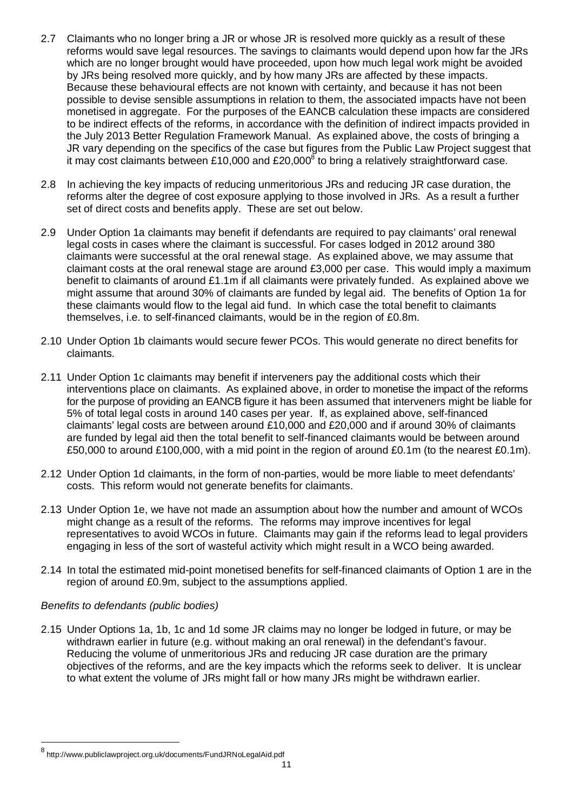- 2.7 Claimants who no longer bring a JR or whose JR is resolved more quickly as a result of these reforms would save legal resources. The savings to claimants would depend upon how far the JRs which are no longer brought would have proceeded, upon how much legal work might be avoided by JRs being resolved more quickly, and by how many JRs are affected by these impacts. Because these behavioural effects are not known with certainty, and because it has not been possible to devise sensible assumptions in relation to them, the associated impacts have not been monetised in aggregate. For the purposes of the EANCB calculation these impacts are considered to be indirect effects of the reforms, in accordance with the definition of indirect impacts provided in the July 2013 Better Regulation Framework Manual. As explained above, the costs of bringing a JR vary depending on the specifics of the case but figures from the Public Law Project suggest that it may cost claimants between £10,000 and £20,000<sup>8</sup> to bring a relatively straightforward case.
- 2.8 In achieving the key impacts of reducing unmeritorious JRs and reducing JR case duration, the reforms alter the degree of cost exposure applying to those involved in JRs. As a result a further set of direct costs and benefits apply. These are set out below.
- 2.9 Under Option 1a claimants may benefit if defendants are required to pay claimants' oral renewal legal costs in cases where the claimant is successful. For cases lodged in 2012 around 380 claimants were successful at the oral renewal stage. As explained above, we may assume that claimant costs at the oral renewal stage are around £3,000 per case. This would imply a maximum benefit to claimants of around £1.1m if all claimants were privately funded. As explained above we might assume that around 30% of claimants are funded by legal aid. The benefits of Option 1a for these claimants would flow to the legal aid fund. In which case the total benefit to claimants themselves, i.e. to self-financed claimants, would be in the region of £0.8m.
- 2.10 Under Option 1b claimants would secure fewer PCOs. This would generate no direct benefits for claimants.
- 2.11 Under Option 1c claimants may benefit if interveners pay the additional costs which their interventions place on claimants. As explained above, in order to monetise the impact of the reforms for the purpose of providing an EANCB figure it has been assumed that interveners might be liable for 5% of total legal costs in around 140 cases per year. If, as explained above, self-financed claimants' legal costs are between around £10,000 and £20,000 and if around 30% of claimants are funded by legal aid then the total benefit to self-financed claimants would be between around £50,000 to around £100,000, with a mid point in the region of around £0.1m (to the nearest £0.1m).
- 2.12 Under Option 1d claimants, in the form of non-parties, would be more liable to meet defendants' costs. This reform would not generate benefits for claimants.
- 2.13 Under Option 1e, we have not made an assumption about how the number and amount of WCOs might change as a result of the reforms. The reforms may improve incentives for legal representatives to avoid WCOs in future. Claimants may gain if the reforms lead to legal providers engaging in less of the sort of wasteful activity which might result in a WCO being awarded.
- 2.14 In total the estimated mid-point monetised benefits for self-financed claimants of Option 1 are in the region of around £0.9m, subject to the assumptions applied.

#### *Benefits to defendants (public bodies)*

2.15 Under Options 1a, 1b, 1c and 1d some JR claims may no longer be lodged in future, or may be withdrawn earlier in future (e.g. without making an oral renewal) in the defendant's favour. Reducing the volume of unmeritorious JRs and reducing JR case duration are the primary objectives of the reforms, and are the key impacts which the reforms seek to deliver. It is unclear to what extent the volume of JRs might fall or how many JRs might be withdrawn earlier.

 8 http://www.publiclawproject.org.uk/documents/FundJRNoLegalAid.pdf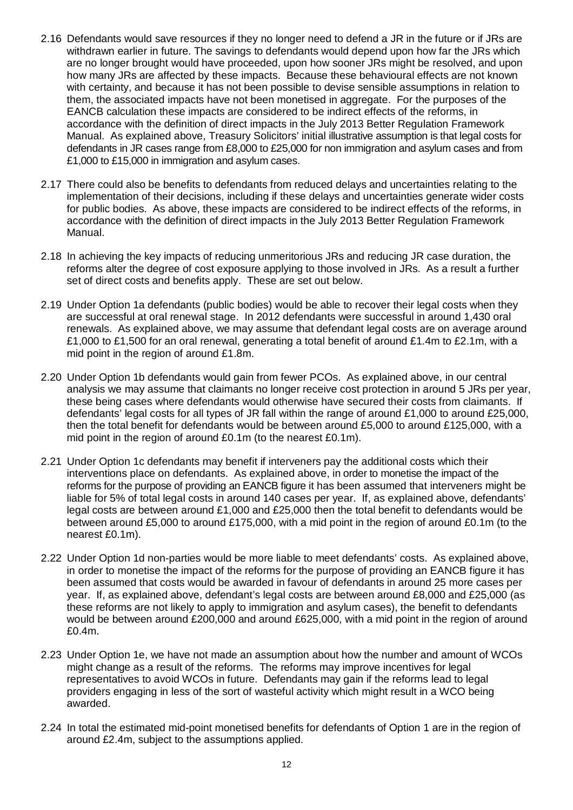- 2.16 Defendants would save resources if they no longer need to defend a JR in the future or if JRs are withdrawn earlier in future. The savings to defendants would depend upon how far the JRs which are no longer brought would have proceeded, upon how sooner JRs might be resolved, and upon how many JRs are affected by these impacts. Because these behavioural effects are not known with certainty, and because it has not been possible to devise sensible assumptions in relation to them, the associated impacts have not been monetised in aggregate. For the purposes of the EANCB calculation these impacts are considered to be indirect effects of the reforms, in accordance with the definition of direct impacts in the July 2013 Better Regulation Framework Manual. As explained above, Treasury Solicitors' initial illustrative assumption is that legal costs for defendants in JR cases range from £8,000 to £25,000 for non immigration and asylum cases and from £1,000 to £15,000 in immigration and asylum cases.
- 2.17 There could also be benefits to defendants from reduced delays and uncertainties relating to the implementation of their decisions, including if these delays and uncertainties generate wider costs for public bodies. As above, these impacts are considered to be indirect effects of the reforms, in accordance with the definition of direct impacts in the July 2013 Better Regulation Framework Manual.
- 2.18 In achieving the key impacts of reducing unmeritorious JRs and reducing JR case duration, the reforms alter the degree of cost exposure applying to those involved in JRs. As a result a further set of direct costs and benefits apply. These are set out below.
- 2.19 Under Option 1a defendants (public bodies) would be able to recover their legal costs when they are successful at oral renewal stage. In 2012 defendants were successful in around 1,430 oral renewals. As explained above, we may assume that defendant legal costs are on average around £1,000 to £1,500 for an oral renewal, generating a total benefit of around £1.4m to £2.1m, with a mid point in the region of around £1.8m.
- 2.20 Under Option 1b defendants would gain from fewer PCOs. As explained above, in our central analysis we may assume that claimants no longer receive cost protection in around 5 JRs per year, these being cases where defendants would otherwise have secured their costs from claimants. If defendants' legal costs for all types of JR fall within the range of around £1,000 to around £25,000, then the total benefit for defendants would be between around £5,000 to around £125,000, with a mid point in the region of around £0.1m (to the nearest £0.1m).
- 2.21 Under Option 1c defendants may benefit if interveners pay the additional costs which their interventions place on defendants. As explained above, in order to monetise the impact of the reforms for the purpose of providing an EANCB figure it has been assumed that interveners might be liable for 5% of total legal costs in around 140 cases per year. If, as explained above, defendants' legal costs are between around £1,000 and £25,000 then the total benefit to defendants would be between around £5,000 to around £175,000, with a mid point in the region of around £0.1m (to the nearest £0.1m).
- 2.22 Under Option 1d non-parties would be more liable to meet defendants' costs. As explained above, in order to monetise the impact of the reforms for the purpose of providing an EANCB figure it has been assumed that costs would be awarded in favour of defendants in around 25 more cases per year. If, as explained above, defendant's legal costs are between around £8,000 and £25,000 (as these reforms are not likely to apply to immigration and asylum cases), the benefit to defendants would be between around £200,000 and around £625,000, with a mid point in the region of around £0.4m.
- 2.23 Under Option 1e, we have not made an assumption about how the number and amount of WCOs might change as a result of the reforms. The reforms may improve incentives for legal representatives to avoid WCOs in future. Defendants may gain if the reforms lead to legal providers engaging in less of the sort of wasteful activity which might result in a WCO being awarded.
- 2.24 In total the estimated mid-point monetised benefits for defendants of Option 1 are in the region of around £2.4m, subject to the assumptions applied.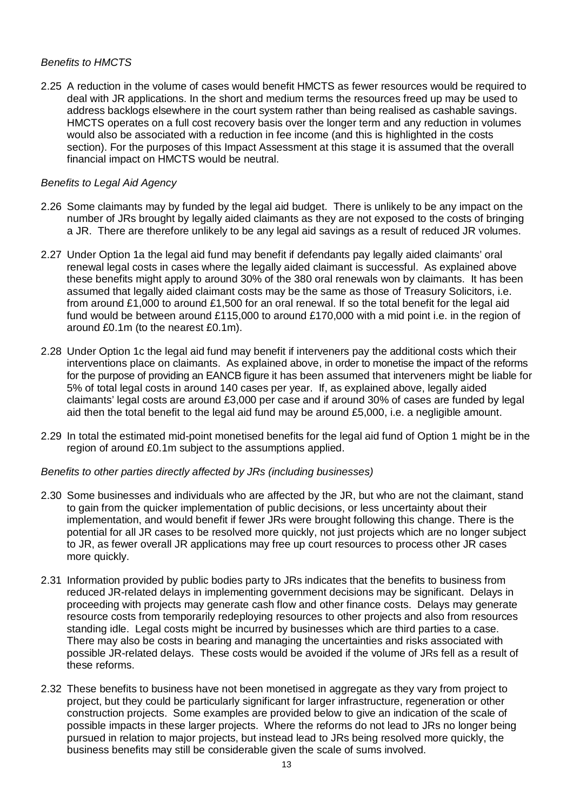#### *Benefits to HMCTS*

2.25 A reduction in the volume of cases would benefit HMCTS as fewer resources would be required to deal with JR applications. In the short and medium terms the resources freed up may be used to address backlogs elsewhere in the court system rather than being realised as cashable savings. HMCTS operates on a full cost recovery basis over the longer term and any reduction in volumes would also be associated with a reduction in fee income (and this is highlighted in the costs section). For the purposes of this Impact Assessment at this stage it is assumed that the overall financial impact on HMCTS would be neutral.

#### *Benefits to Legal Aid Agency*

- 2.26 Some claimants may by funded by the legal aid budget. There is unlikely to be any impact on the number of JRs brought by legally aided claimants as they are not exposed to the costs of bringing a JR. There are therefore unlikely to be any legal aid savings as a result of reduced JR volumes.
- 2.27 Under Option 1a the legal aid fund may benefit if defendants pay legally aided claimants' oral renewal legal costs in cases where the legally aided claimant is successful. As explained above these benefits might apply to around 30% of the 380 oral renewals won by claimants. It has been assumed that legally aided claimant costs may be the same as those of Treasury Solicitors, i.e. from around £1,000 to around £1,500 for an oral renewal. If so the total benefit for the legal aid fund would be between around £115,000 to around £170,000 with a mid point i.e. in the region of around £0.1m (to the nearest £0.1m).
- 2.28 Under Option 1c the legal aid fund may benefit if interveners pay the additional costs which their interventions place on claimants. As explained above, in order to monetise the impact of the reforms for the purpose of providing an EANCB figure it has been assumed that interveners might be liable for 5% of total legal costs in around 140 cases per year. If, as explained above, legally aided claimants' legal costs are around £3,000 per case and if around 30% of cases are funded by legal aid then the total benefit to the legal aid fund may be around £5,000, i.e. a negligible amount.
- 2.29 In total the estimated mid-point monetised benefits for the legal aid fund of Option 1 might be in the region of around £0.1m subject to the assumptions applied.

#### *Benefits to other parties directly affected by JRs (including businesses)*

- 2.30 Some businesses and individuals who are affected by the JR, but who are not the claimant, stand to gain from the quicker implementation of public decisions, or less uncertainty about their implementation, and would benefit if fewer JRs were brought following this change. There is the potential for all JR cases to be resolved more quickly, not just projects which are no longer subject to JR, as fewer overall JR applications may free up court resources to process other JR cases more quickly.
- 2.31 Information provided by public bodies party to JRs indicates that the benefits to business from reduced JR-related delays in implementing government decisions may be significant. Delays in proceeding with projects may generate cash flow and other finance costs. Delays may generate resource costs from temporarily redeploying resources to other projects and also from resources standing idle. Legal costs might be incurred by businesses which are third parties to a case. There may also be costs in bearing and managing the uncertainties and risks associated with possible JR-related delays. These costs would be avoided if the volume of JRs fell as a result of these reforms.
- 2.32 These benefits to business have not been monetised in aggregate as they vary from project to project, but they could be particularly significant for larger infrastructure, regeneration or other construction projects. Some examples are provided below to give an indication of the scale of possible impacts in these larger projects. Where the reforms do not lead to JRs no longer being pursued in relation to major projects, but instead lead to JRs being resolved more quickly, the business benefits may still be considerable given the scale of sums involved.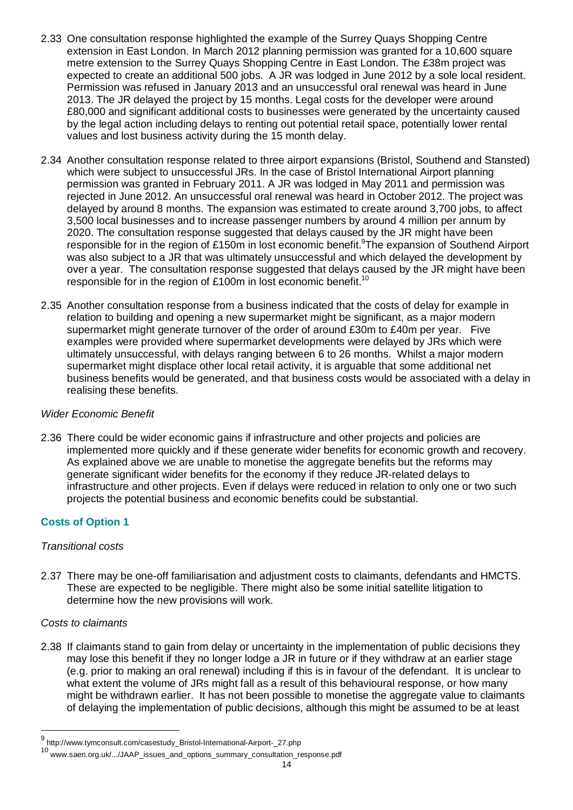- 2.33 One consultation response highlighted the example of the Surrey Quays Shopping Centre extension in East London. In March 2012 planning permission was granted for a 10,600 square metre extension to the Surrey Quays Shopping Centre in East London. The £38m project was expected to create an additional 500 jobs. A JR was lodged in June 2012 by a sole local resident. Permission was refused in January 2013 and an unsuccessful oral renewal was heard in June 2013. The JR delayed the project by 15 months. Legal costs for the developer were around £80,000 and significant additional costs to businesses were generated by the uncertainty caused by the legal action including delays to renting out potential retail space, potentially lower rental values and lost business activity during the 15 month delay.
- 2.34 Another consultation response related to three airport expansions (Bristol, Southend and Stansted) which were subject to unsuccessful JRs. In the case of Bristol International Airport planning permission was granted in February 2011. A JR was lodged in May 2011 and permission was rejected in June 2012. An unsuccessful oral renewal was heard in October 2012. The project was delayed by around 8 months. The expansion was estimated to create around 3,700 jobs, to affect 3,500 local businesses and to increase passenger numbers by around 4 million per annum by 2020. The consultation response suggested that delays caused by the JR might have been responsible for in the region of £150m in lost economic benefit.<sup>9</sup>The expansion of Southend Airport was also subject to a JR that was ultimately unsuccessful and which delayed the development by over a year. The consultation response suggested that delays caused by the JR might have been responsible for in the region of £100m in lost economic benefit.<sup>10</sup>
- 2.35 Another consultation response from a business indicated that the costs of delay for example in relation to building and opening a new supermarket might be significant, as a major modern supermarket might generate turnover of the order of around £30m to £40m per year. Five examples were provided where supermarket developments were delayed by JRs which were ultimately unsuccessful, with delays ranging between 6 to 26 months. Whilst a major modern supermarket might displace other local retail activity, it is arguable that some additional net business benefits would be generated, and that business costs would be associated with a delay in realising these benefits.

## *Wider Economic Benefit*

2.36 There could be wider economic gains if infrastructure and other projects and policies are implemented more quickly and if these generate wider benefits for economic growth and recovery. As explained above we are unable to monetise the aggregate benefits but the reforms may generate significant wider benefits for the economy if they reduce JR-related delays to infrastructure and other projects. Even if delays were reduced in relation to only one or two such projects the potential business and economic benefits could be substantial.

# **Costs of Option 1**

#### *Transitional costs*

2.37 There may be one-off familiarisation and adjustment costs to claimants, defendants and HMCTS. These are expected to be negligible. There might also be some initial satellite litigation to determine how the new provisions will work.

#### *Costs to claimants*

 $\overline{a}$ 

2.38 If claimants stand to gain from delay or uncertainty in the implementation of public decisions they may lose this benefit if they no longer lodge a JR in future or if they withdraw at an earlier stage (e.g. prior to making an oral renewal) including if this is in favour of the defendant. It is unclear to what extent the volume of JRs might fall as a result of this behavioural response, or how many might be withdrawn earlier. It has not been possible to monetise the aggregate value to claimants of delaying the implementation of public decisions, although this might be assumed to be at least

<sup>&</sup>lt;sup>9</sup> http://www.tymconsult.com/casestudy\_Bristol-International-Airport-\_27.php

<sup>10</sup> www.saen.org.uk/.../JAAP\_issues\_and\_options\_summary\_consultation\_response.pdf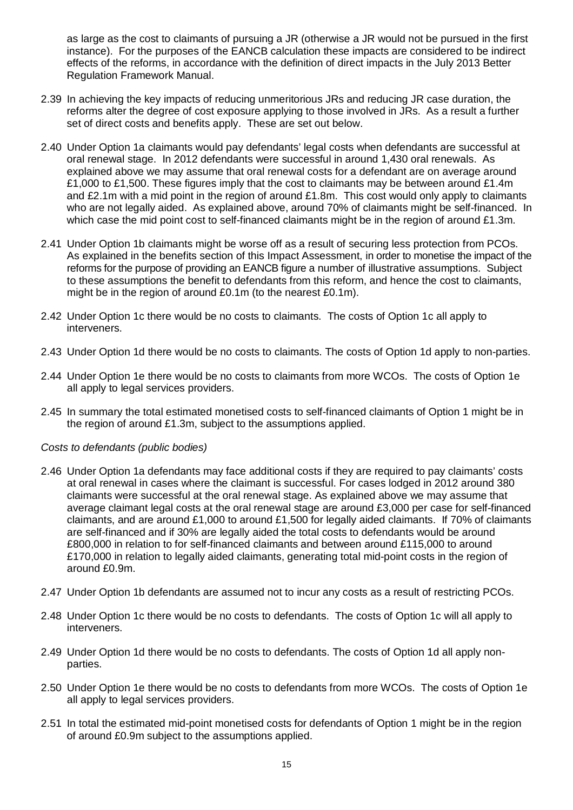as large as the cost to claimants of pursuing a JR (otherwise a JR would not be pursued in the first instance). For the purposes of the EANCB calculation these impacts are considered to be indirect effects of the reforms, in accordance with the definition of direct impacts in the July 2013 Better Regulation Framework Manual.

- 2.39 In achieving the key impacts of reducing unmeritorious JRs and reducing JR case duration, the reforms alter the degree of cost exposure applying to those involved in JRs. As a result a further set of direct costs and benefits apply. These are set out below.
- 2.40 Under Option 1a claimants would pay defendants' legal costs when defendants are successful at oral renewal stage. In 2012 defendants were successful in around 1,430 oral renewals. As explained above we may assume that oral renewal costs for a defendant are on average around £1,000 to £1,500. These figures imply that the cost to claimants may be between around £1.4m and £2.1m with a mid point in the region of around £1.8m. This cost would only apply to claimants who are not legally aided. As explained above, around 70% of claimants might be self-financed. In which case the mid point cost to self-financed claimants might be in the region of around £1.3m.
- 2.41 Under Option 1b claimants might be worse off as a result of securing less protection from PCOs. As explained in the benefits section of this Impact Assessment, in order to monetise the impact of the reforms for the purpose of providing an EANCB figure a number of illustrative assumptions. Subject to these assumptions the benefit to defendants from this reform, and hence the cost to claimants, might be in the region of around £0.1m (to the nearest £0.1m).
- 2.42 Under Option 1c there would be no costs to claimants. The costs of Option 1c all apply to interveners.
- 2.43 Under Option 1d there would be no costs to claimants. The costs of Option 1d apply to non-parties.
- 2.44 Under Option 1e there would be no costs to claimants from more WCOs. The costs of Option 1e all apply to legal services providers.
- 2.45 In summary the total estimated monetised costs to self-financed claimants of Option 1 might be in the region of around £1.3m, subject to the assumptions applied.

#### *Costs to defendants (public bodies)*

- 2.46 Under Option 1a defendants may face additional costs if they are required to pay claimants' costs at oral renewal in cases where the claimant is successful. For cases lodged in 2012 around 380 claimants were successful at the oral renewal stage. As explained above we may assume that average claimant legal costs at the oral renewal stage are around £3,000 per case for self-financed claimants, and are around £1,000 to around £1,500 for legally aided claimants. If 70% of claimants are self-financed and if 30% are legally aided the total costs to defendants would be around £800,000 in relation to for self-financed claimants and between around £115,000 to around £170,000 in relation to legally aided claimants, generating total mid-point costs in the region of around £0.9m.
- 2.47 Under Option 1b defendants are assumed not to incur any costs as a result of restricting PCOs.
- 2.48 Under Option 1c there would be no costs to defendants. The costs of Option 1c will all apply to interveners.
- 2.49 Under Option 1d there would be no costs to defendants. The costs of Option 1d all apply nonparties.
- 2.50 Under Option 1e there would be no costs to defendants from more WCOs. The costs of Option 1e all apply to legal services providers.
- 2.51 In total the estimated mid-point monetised costs for defendants of Option 1 might be in the region of around £0.9m subject to the assumptions applied.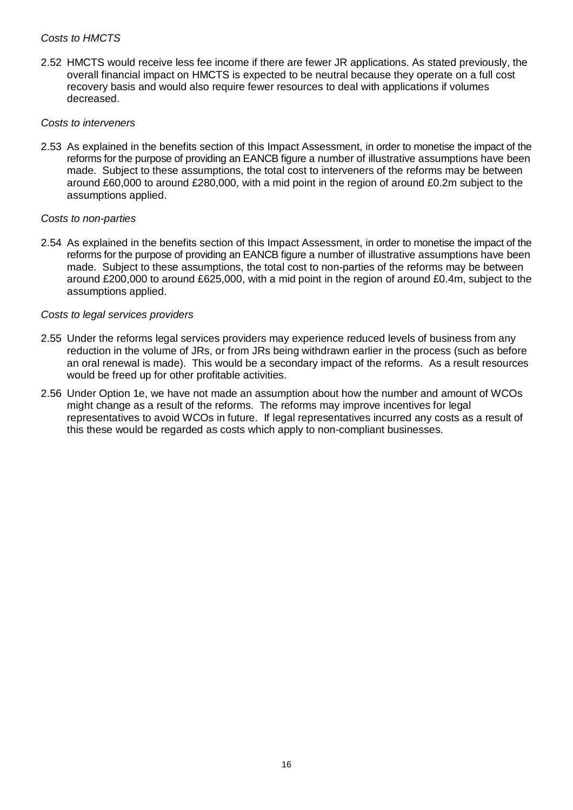#### *Costs to HMCTS*

2.52 HMCTS would receive less fee income if there are fewer JR applications. As stated previously, the overall financial impact on HMCTS is expected to be neutral because they operate on a full cost recovery basis and would also require fewer resources to deal with applications if volumes decreased.

#### *Costs to interveners*

2.53 As explained in the benefits section of this Impact Assessment, in order to monetise the impact of the reforms for the purpose of providing an EANCB figure a number of illustrative assumptions have been made. Subject to these assumptions, the total cost to interveners of the reforms may be between around £60,000 to around £280,000, with a mid point in the region of around £0.2m subject to the assumptions applied.

#### *Costs to non-parties*

2.54 As explained in the benefits section of this Impact Assessment, in order to monetise the impact of the reforms for the purpose of providing an EANCB figure a number of illustrative assumptions have been made. Subject to these assumptions, the total cost to non-parties of the reforms may be between around £200,000 to around £625,000, with a mid point in the region of around £0.4m, subject to the assumptions applied.

#### *Costs to legal services providers*

- 2.55 Under the reforms legal services providers may experience reduced levels of business from any reduction in the volume of JRs, or from JRs being withdrawn earlier in the process (such as before an oral renewal is made). This would be a secondary impact of the reforms. As a result resources would be freed up for other profitable activities.
- 2.56 Under Option 1e, we have not made an assumption about how the number and amount of WCOs might change as a result of the reforms. The reforms may improve incentives for legal representatives to avoid WCOs in future. If legal representatives incurred any costs as a result of this these would be regarded as costs which apply to non-compliant businesses.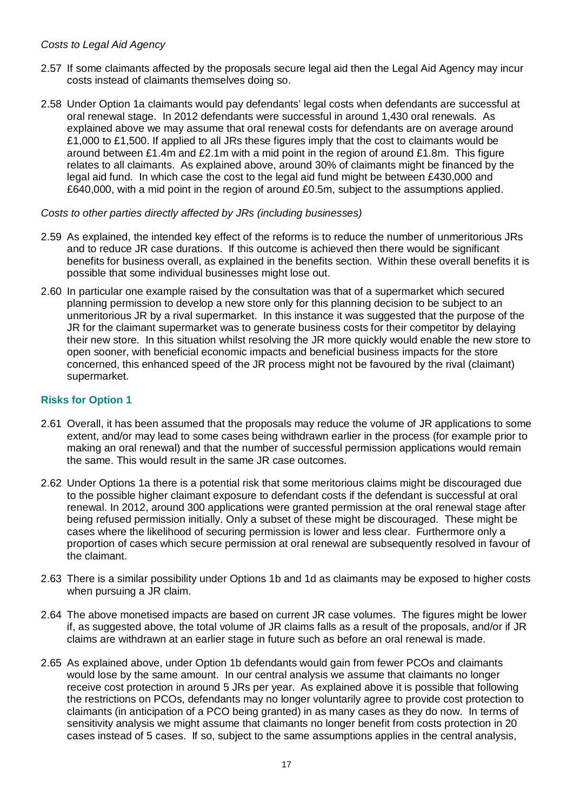#### *Costs to Legal Aid Agency*

- 2.57 If some claimants affected by the proposals secure legal aid then the Legal Aid Agency may incur costs instead of claimants themselves doing so.
- 2.58 Under Option 1a claimants would pay defendants' legal costs when defendants are successful at oral renewal stage. In 2012 defendants were successful in around 1,430 oral renewals. As explained above we may assume that oral renewal costs for defendants are on average around £1,000 to £1,500. If applied to all JRs these figures imply that the cost to claimants would be around between £1.4m and £2.1m with a mid point in the region of around £1.8m. This figure relates to all claimants. As explained above, around 30% of claimants might be financed by the legal aid fund. In which case the cost to the legal aid fund might be between £430,000 and £640,000, with a mid point in the region of around £0.5m, subject to the assumptions applied.

#### *Costs to other parties directly affected by JRs (including businesses)*

- 2.59 As explained, the intended key effect of the reforms is to reduce the number of unmeritorious JRs and to reduce JR case durations. If this outcome is achieved then there would be significant benefits for business overall, as explained in the benefits section. Within these overall benefits it is possible that some individual businesses might lose out.
- 2.60 In particular one example raised by the consultation was that of a supermarket which secured planning permission to develop a new store only for this planning decision to be subject to an unmeritorious JR by a rival supermarket. In this instance it was suggested that the purpose of the JR for the claimant supermarket was to generate business costs for their competitor by delaying their new store. In this situation whilst resolving the JR more quickly would enable the new store to open sooner, with beneficial economic impacts and beneficial business impacts for the store concerned, this enhanced speed of the JR process might not be favoured by the rival (claimant) supermarket.

#### **Risks for Option 1**

- 2.61 Overall, it has been assumed that the proposals may reduce the volume of JR applications to some extent, and/or may lead to some cases being withdrawn earlier in the process (for example prior to making an oral renewal) and that the number of successful permission applications would remain the same. This would result in the same JR case outcomes.
- 2.62 Under Options 1a there is a potential risk that some meritorious claims might be discouraged due to the possible higher claimant exposure to defendant costs if the defendant is successful at oral renewal. In 2012, around 300 applications were granted permission at the oral renewal stage after being refused permission initially. Only a subset of these might be discouraged. These might be cases where the likelihood of securing permission is lower and less clear. Furthermore only a proportion of cases which secure permission at oral renewal are subsequently resolved in favour of the claimant.
- 2.63 There is a similar possibility under Options 1b and 1d as claimants may be exposed to higher costs when pursuing a JR claim.
- 2.64 The above monetised impacts are based on current JR case volumes. The figures might be lower if, as suggested above, the total volume of JR claims falls as a result of the proposals, and/or if JR claims are withdrawn at an earlier stage in future such as before an oral renewal is made.
- 2.65 As explained above, under Option 1b defendants would gain from fewer PCOs and claimants would lose by the same amount. In our central analysis we assume that claimants no longer receive cost protection in around 5 JRs per year. As explained above it is possible that following the restrictions on PCOs, defendants may no longer voluntarily agree to provide cost protection to claimants (in anticipation of a PCO being granted) in as many cases as they do now. In terms of sensitivity analysis we might assume that claimants no longer benefit from costs protection in 20 cases instead of 5 cases. If so, subject to the same assumptions applies in the central analysis,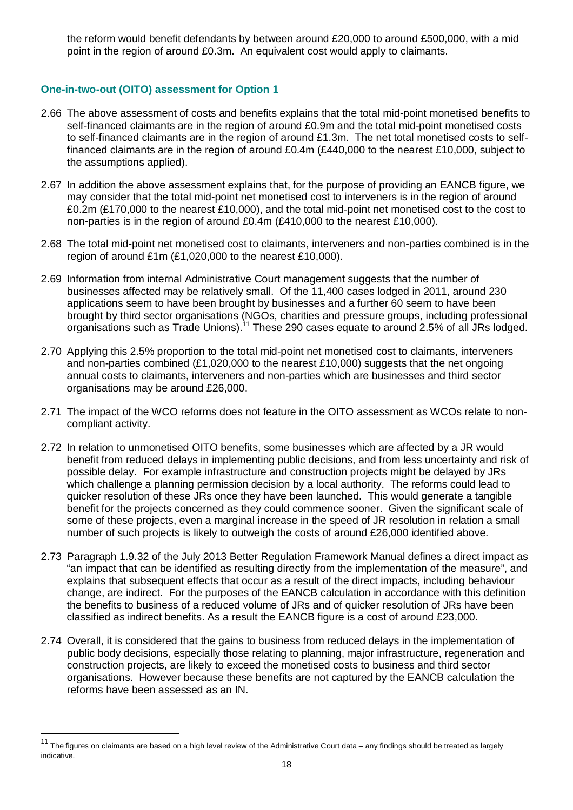the reform would benefit defendants by between around £20,000 to around £500,000, with a mid point in the region of around £0.3m. An equivalent cost would apply to claimants.

#### **One-in-two-out (OITO) assessment for Option 1**

- 2.66 The above assessment of costs and benefits explains that the total mid-point monetised benefits to self-financed claimants are in the region of around £0.9m and the total mid-point monetised costs to self-financed claimants are in the region of around £1.3m. The net total monetised costs to selffinanced claimants are in the region of around £0.4m (£440,000 to the nearest £10,000, subject to the assumptions applied).
- 2.67 In addition the above assessment explains that, for the purpose of providing an EANCB figure, we may consider that the total mid-point net monetised cost to interveners is in the region of around £0.2m (£170,000 to the nearest £10,000), and the total mid-point net monetised cost to the cost to non-parties is in the region of around £0.4m (£410,000 to the nearest £10,000).
- 2.68 The total mid-point net monetised cost to claimants, interveners and non-parties combined is in the region of around £1m (£1,020,000 to the nearest £10,000).
- 2.69 Information from internal Administrative Court management suggests that the number of businesses affected may be relatively small. Of the 11,400 cases lodged in 2011, around 230 applications seem to have been brought by businesses and a further 60 seem to have been brought by third sector organisations (NGOs, charities and pressure groups, including professional organisations such as Trade Unions).<sup>11</sup> These 290 cases equate to around 2.5% of all JRs lodged.
- 2.70 Applying this 2.5% proportion to the total mid-point net monetised cost to claimants, interveners and non-parties combined (£1,020,000 to the nearest £10,000) suggests that the net ongoing annual costs to claimants, interveners and non-parties which are businesses and third sector organisations may be around £26,000.
- 2.71 The impact of the WCO reforms does not feature in the OITO assessment as WCOs relate to noncompliant activity.
- 2.72 In relation to unmonetised OITO benefits, some businesses which are affected by a JR would benefit from reduced delays in implementing public decisions, and from less uncertainty and risk of possible delay. For example infrastructure and construction projects might be delayed by JRs which challenge a planning permission decision by a local authority. The reforms could lead to quicker resolution of these JRs once they have been launched. This would generate a tangible benefit for the projects concerned as they could commence sooner. Given the significant scale of some of these projects, even a marginal increase in the speed of JR resolution in relation a small number of such projects is likely to outweigh the costs of around £26,000 identified above.
- 2.73 Paragraph 1.9.32 of the July 2013 Better Regulation Framework Manual defines a direct impact as "an impact that can be identified as resulting directly from the implementation of the measure", and explains that subsequent effects that occur as a result of the direct impacts, including behaviour change, are indirect. For the purposes of the EANCB calculation in accordance with this definition the benefits to business of a reduced volume of JRs and of quicker resolution of JRs have been classified as indirect benefits. As a result the EANCB figure is a cost of around £23,000.
- 2.74 Overall, it is considered that the gains to business from reduced delays in the implementation of public body decisions, especially those relating to planning, major infrastructure, regeneration and construction projects, are likely to exceed the monetised costs to business and third sector organisations. However because these benefits are not captured by the EANCB calculation the reforms have been assessed as an IN.

 $\overline{a}$ 

The figures on claimants are based on a high level review of the Administrative Court data – any findings should be treated as largely indicative.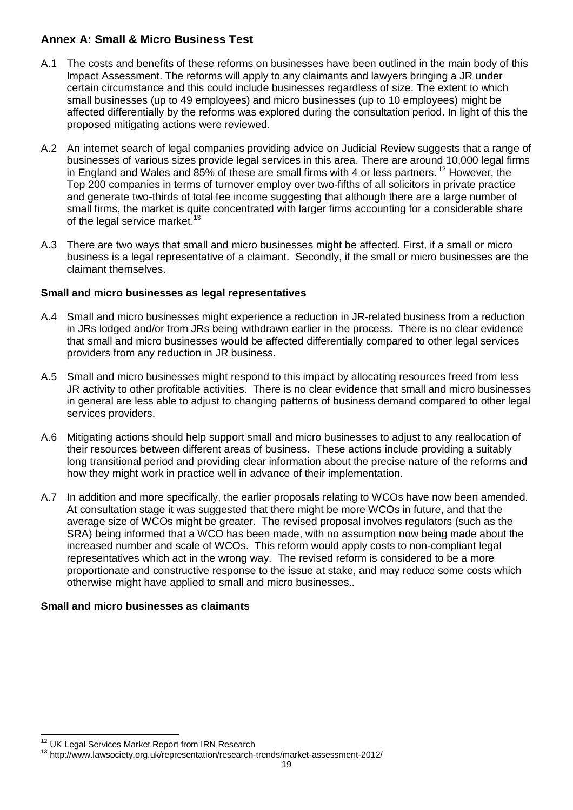# **Annex A: Small & Micro Business Test**

- A.1 The costs and benefits of these reforms on businesses have been outlined in the main body of this Impact Assessment. The reforms will apply to any claimants and lawyers bringing a JR under certain circumstance and this could include businesses regardless of size. The extent to which small businesses (up to 49 employees) and micro businesses (up to 10 employees) might be affected differentially by the reforms was explored during the consultation period. In light of this the proposed mitigating actions were reviewed.
- A.2 An internet search of legal companies providing advice on Judicial Review suggests that a range of businesses of various sizes provide legal services in this area. There are around 10,000 legal firms in England and Wales and 85% of these are small firms with 4 or less partners.<sup>12</sup> However, the Top 200 companies in terms of turnover employ over two-fifths of all solicitors in private practice and generate two-thirds of total fee income suggesting that although there are a large number of small firms, the market is quite concentrated with larger firms accounting for a considerable share of the legal service market.<sup>13</sup>
- A.3 There are two ways that small and micro businesses might be affected. First, if a small or micro business is a legal representative of a claimant. Secondly, if the small or micro businesses are the claimant themselves.

## **Small and micro businesses as legal representatives**

- A.4 Small and micro businesses might experience a reduction in JR-related business from a reduction in JRs lodged and/or from JRs being withdrawn earlier in the process. There is no clear evidence that small and micro businesses would be affected differentially compared to other legal services providers from any reduction in JR business.
- A.5 Small and micro businesses might respond to this impact by allocating resources freed from less JR activity to other profitable activities. There is no clear evidence that small and micro businesses in general are less able to adjust to changing patterns of business demand compared to other legal services providers.
- A.6 Mitigating actions should help support small and micro businesses to adjust to any reallocation of their resources between different areas of business. These actions include providing a suitably long transitional period and providing clear information about the precise nature of the reforms and how they might work in practice well in advance of their implementation.
- A.7 In addition and more specifically, the earlier proposals relating to WCOs have now been amended. At consultation stage it was suggested that there might be more WCOs in future, and that the average size of WCOs might be greater. The revised proposal involves regulators (such as the SRA) being informed that a WCO has been made, with no assumption now being made about the increased number and scale of WCOs. This reform would apply costs to non-compliant legal representatives which act in the wrong way. The revised reform is considered to be a more proportionate and constructive response to the issue at stake, and may reduce some costs which otherwise might have applied to small and micro businesses..

# **Small and micro businesses as claimants**

 $\overline{a}$  $12^1$  UK Legal Services Market Report from IRN Research

<sup>&</sup>lt;sup>13</sup> http://www.lawsociety.org.uk/representation/research-trends/market-assessment-2012/